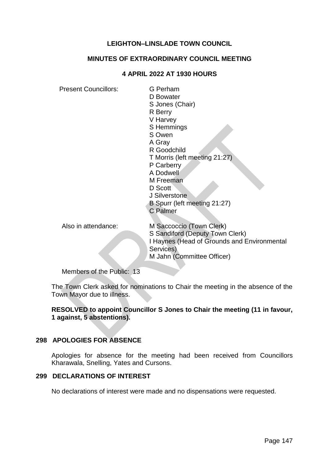# **LEIGHTON–LINSLADE TOWN COUNCIL**

#### **MINUTES OF EXTRAORDINARY COUNCIL MEETING**

#### **4 APRIL 2022 AT 1930 HOURS**

Present Councillors: G Perham D Bowater S Jones (Chair) R Berry V Harvey S Hemmings S Owen A Gray R Goodchild T Morris (left meeting 21:27) P Carberry A Dodwell M Freeman D Scott J Silverstone B Spurr (left meeting 21:27) C Palmer Also in attendance: M Saccoccio (Town Clerk) S Sandiford (Deputy Town Clerk) I Haynes (Head of Grounds and Environmental Services) M Jahn (Committee Officer)

Members of the Public: 13

The Town Clerk asked for nominations to Chair the meeting in the absence of the Town Mayor due to illness.

# **RESOLVED to appoint Councillor S Jones to Chair the meeting (11 in favour, 1 against, 5 abstentions).**

# **298 APOLOGIES FOR ABSENCE**

Apologies for absence for the meeting had been received from Councillors Kharawala, Snelling, Yates and Cursons.

#### **299 DECLARATIONS OF INTEREST**

No declarations of interest were made and no dispensations were requested.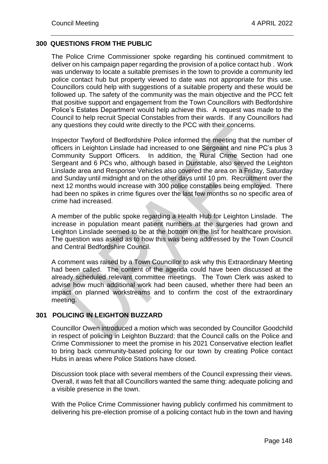# **300 QUESTIONS FROM THE PUBLIC**

The Police Crime Commissioner spoke regarding his continued commitment to deliver on his campaign paper regarding the provision of a police contact hub . Work was underway to locate a suitable premises in the town to provide a community led police contact hub but property viewed to date was not appropriate for this use. Councillors could help with suggestions of a suitable property and these would be followed up. The safety of the community was the main objective and the PCC felt that positive support and engagement from the Town Councillors with Bedfordshire Police's Estates Department would help achieve this. A request was made to the Council to help recruit Special Constables from their wards. If any Councillors had any questions they could write directly to the PCC with their concerns.

Inspector Twyford of Bedfordshire Police informed the meeting that the number of officers in Leighton Linslade had increased to one Sergeant and nine PC's plus 3 Community Support Officers. In addition, the Rural Crime Section had one Sergeant and 6 PCs who, although based in Dunstable, also served the Leighton Linslade area and Response Vehicles also covered the area on a Friday, Saturday and Sunday until midnight and on the other days until 10 pm. Recruitment over the next 12 months would increase with 300 police constables being employed. There had been no spikes in crime figures over the last few months so no specific area of crime had increased.

A member of the public spoke regarding a Health Hub for Leighton Linslade. The increase in population meant patient numbers at the surgeries had grown and Leighton Linslade seemed to be at the bottom on the list for healthcare provision. The question was asked as to how this was being addressed by the Town Council and Central Bedfordshire Council.

A comment was raised by a Town Councillor to ask why this Extraordinary Meeting had been called. The content of the agenda could have been discussed at the already scheduled relevant committee meetings. The Town Clerk was asked to advise how much additional work had been caused, whether there had been an impact on planned workstreams and to confirm the cost of the extraordinary meeting.

# **301 POLICING IN LEIGHTON BUZZARD**

Councillor Owen introduced a motion which was seconded by Councillor Goodchild in respect of policing in Leighton Buzzard: that the Council calls on the Police and Crime Commissioner to meet the promise in his 2021 Conservative election leaflet to bring back community-based policing for our town by creating Police contact Hubs in areas where Police Stations have closed.

Discussion took place with several members of the Council expressing their views. Overall, it was felt that all Councillors wanted the same thing: adequate policing and a visible presence in the town.

With the Police Crime Commissioner having publicly confirmed his commitment to delivering his pre-election promise of a policing contact hub in the town and having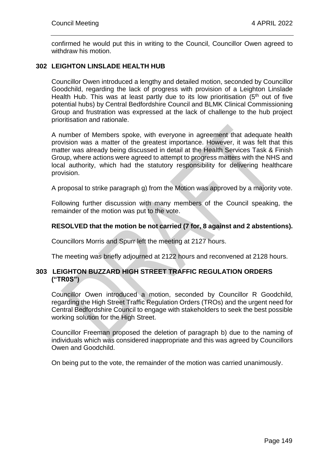confirmed he would put this in writing to the Council, Councillor Owen agreed to withdraw his motion.

# **302 LEIGHTON LINSLADE HEALTH HUB**

Councillor Owen introduced a lengthy and detailed motion, seconded by Councillor Goodchild, regarding the lack of progress with provision of a Leighton Linslade Health Hub. This was at least partly due to its low prioritisation  $(5<sup>th</sup>$  out of five potential hubs) by Central Bedfordshire Council and BLMK Clinical Commissioning Group and frustration was expressed at the lack of challenge to the hub project prioritisation and rationale.

A number of Members spoke, with everyone in agreement that adequate health provision was a matter of the greatest importance. However, it was felt that this matter was already being discussed in detail at the Health Services Task & Finish Group, where actions were agreed to attempt to progress matters with the NHS and local authority, which had the statutory responsibility for delivering healthcare provision.

A proposal to strike paragraph g) from the Motion was approved by a majority vote.

Following further discussion with many members of the Council speaking, the remainder of the motion was put to the vote.

# **RESOLVED that the motion be not carried (7 for, 8 against and 2 abstentions).**

Councillors Morris and Spurr left the meeting at 2127 hours.

The meeting was briefly adjourned at 2122 hours and reconvened at 2128 hours.

# **303 LEIGHTON BUZZARD HIGH STREET TRAFFIC REGULATION ORDERS ("TR0S")**

Councillor Owen introduced a motion, seconded by Councillor R Goodchild, regarding the High Street Traffic Regulation Orders (TROs) and the urgent need for Central Bedfordshire Council to engage with stakeholders to seek the best possible working solution for the High Street.

Councillor Freeman proposed the deletion of paragraph b) due to the naming of individuals which was considered inappropriate and this was agreed by Councillors Owen and Goodchild.

On being put to the vote, the remainder of the motion was carried unanimously.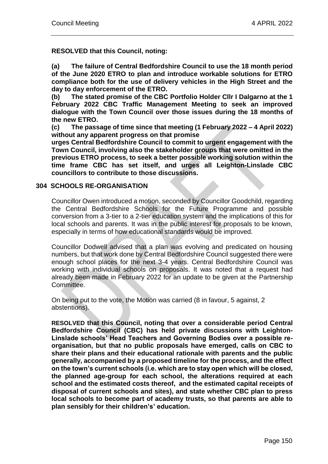**RESOLVED that this Council, noting:** 

**(a) The failure of Central Bedfordshire Council to use the 18 month period of the June 2020 ETRO to plan and introduce workable solutions for ETRO compliance both for the use of delivery vehicles in the High Street and the day to day enforcement of the ETRO.**

**(b) The stated promise of the CBC Portfolio Holder Cllr I Dalgarno at the 1 February 2022 CBC Traffic Management Meeting to seek an improved dialogue with the Town Council over those issues during the 18 months of the new ETRO.**

**(c) The passage of time since that meeting (1 February 2022 – 4 April 2022) without any apparent progress on that promise**

**urges Central Bedfordshire Council to commit to urgent engagement with the Town Council, involving also the stakeholder groups that were omitted in the previous ETRO process, to seek a better possible working solution within the time frame CBC has set itself, and urges all Leighton-Linslade CBC councillors to contribute to those discussions.**

#### **304 SCHOOLS RE-ORGANISATION**

Councillor Owen introduced a motion, seconded by Councillor Goodchild, regarding the Central Bedfordshire Schools for the Future Programme and possible conversion from a 3-tier to a 2-tier education system and the implications of this for local schools and parents. It was in the public interest for proposals to be known, especially in terms of how educational standards would be improved.

Councillor Dodwell advised that a plan was evolving and predicated on housing numbers, but that work done by Central Bedfordshire Council suggested there were enough school places for the next 3-4 years. Central Bedfordshire Council was working with individual schools on proposals. It was noted that a request had already been made in February 2022 for an update to be given at the Partnership Committee.

On being put to the vote, the Motion was carried (8 in favour, 5 against, 2 abstentions).

**RESOLVED that this Council, noting that over a considerable period Central Bedfordshire Council (CBC) has held private discussions with Leighton-Linslade schools' Head Teachers and Governing Bodies over a possible reorganisation, but that no public proposals have emerged, calls on CBC to share their plans and their educational rationale with parents and the public generally, accompanied by a proposed timeline for the process, and the effect on the town's current schools (i.e. which are to stay open which will be closed, the planned age-group for each school, the alterations required at each school and the estimated costs thereof, and the estimated capital receipts of disposal of current schools and sites), and state whether CBC plan to press local schools to become part of academy trusts, so that parents are able to plan sensibly for their children's' education.**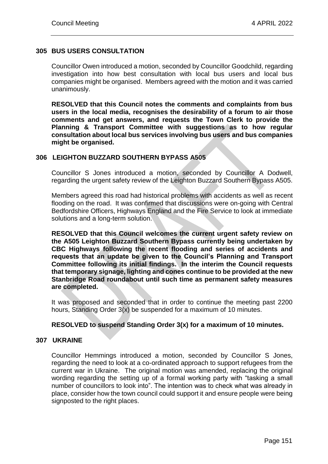# **305 BUS USERS CONSULTATION**

Councillor Owen introduced a motion, seconded by Councillor Goodchild, regarding investigation into how best consultation with local bus users and local bus companies might be organised. Members agreed with the motion and it was carried unanimously.

**RESOLVED that this Council notes the comments and complaints from bus users in the local media, recognises the desirability of a forum to air those comments and get answers, and requests the Town Clerk to provide the Planning & Transport Committee with suggestions as to how regular consultation about local bus services involving bus users and bus companies might be organised.**

# **306 LEIGHTON BUZZARD SOUTHERN BYPASS A505**

Councillor S Jones introduced a motion, seconded by Councillor A Dodwell, regarding the urgent safety review of the Leighton Buzzard Southern Bypass A505.

Members agreed this road had historical problems with accidents as well as recent flooding on the road. It was confirmed that discussions were on-going with Central Bedfordshire Officers, Highways England and the Fire Service to look at immediate solutions and a long-term solution.

**RESOLVED that this Council welcomes the current urgent safety review on the A505 Leighton Buzzard Southern Bypass currently being undertaken by CBC Highways following the recent flooding and series of accidents and requests that an update be given to the Council's Planning and Transport Committee following its initial findings. In the interim the Council requests that temporary signage, lighting and cones continue to be provided at the new Stanbridge Road roundabout until such time as permanent safety measures are completed.**

It was proposed and seconded that in order to continue the meeting past 2200 hours, Standing Order 3(x) be suspended for a maximum of 10 minutes.

# **RESOLVED to suspend Standing Order 3(x) for a maximum of 10 minutes.**

# **307 UKRAINE**

Councillor Hemmings introduced a motion, seconded by Councillor S Jones, regarding the need to look at a co-ordinated approach to support refugees from the current war in Ukraine. The original motion was amended, replacing the original wording regarding the setting up of a formal working party with "tasking a small number of councillors to look into". The intention was to check what was already in place, consider how the town council could support it and ensure people were being signposted to the right places.